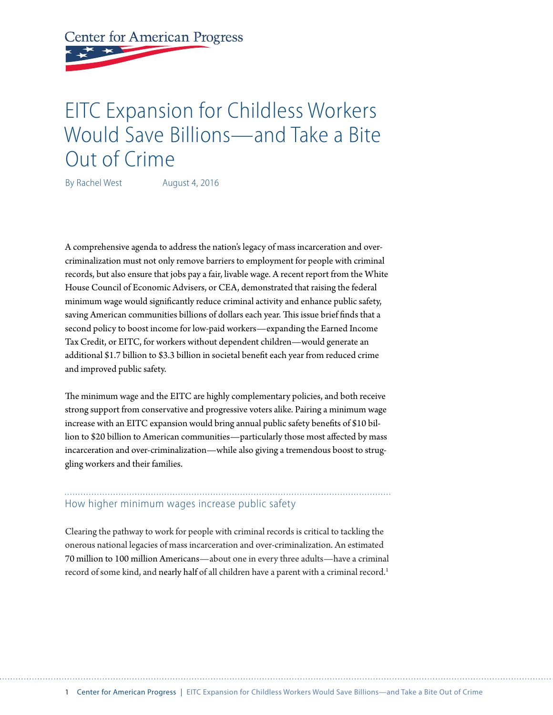# **Center for American Progress**

## EITC Expansion for Childless Workers Would Save Billions—and Take a Bite Out of Crime

By Rachel West August 4, 2016

A comprehensive agenda to address the nation's legacy of mass incarceration and overcriminalization must not only remove barriers to employment for people with criminal records, but also ensure that jobs pay a fair, livable wage. A recent report from the White House Council of Economic Advisers, or CEA, demonstrated that raising the federal minimum wage would significantly reduce criminal activity and enhance public safety, saving American communities billions of dollars each year. This issue brief finds that a second policy to boost income for low-paid workers—expanding the Earned Income Tax Credit, or EITC, for workers without dependent children—would generate an additional \$1.7 billion to \$3.3 billion in societal benefit each year from reduced crime and improved public safety.

The minimum wage and the EITC are highly complementary policies, and both receive strong support from conservative and progressive voters alike. Pairing a minimum wage increase with an EITC expansion would bring annual public safety benefits of \$10 billion to \$20 billion to American communities—particularly those most affected by mass incarceration and over-criminalization—while also giving a tremendous boost to struggling workers and their families.

## How higher minimum wages increase public safety

Clearing the pathway to work for people with criminal records is critical to tackling the onerous national legacies of mass incarceration and over-criminalization. An estimated 70 million to 100 million Americans—about one in every three adults—have a criminal record of some kind, and [nearly half](https://www.americanprogress.org/issues/criminal-justice/report/2015/12/10/126902/removing-barriers-to-opportunity-for-parents-with-criminal-records-and-their-children/) of all children have a parent with a criminal record.<sup>1</sup>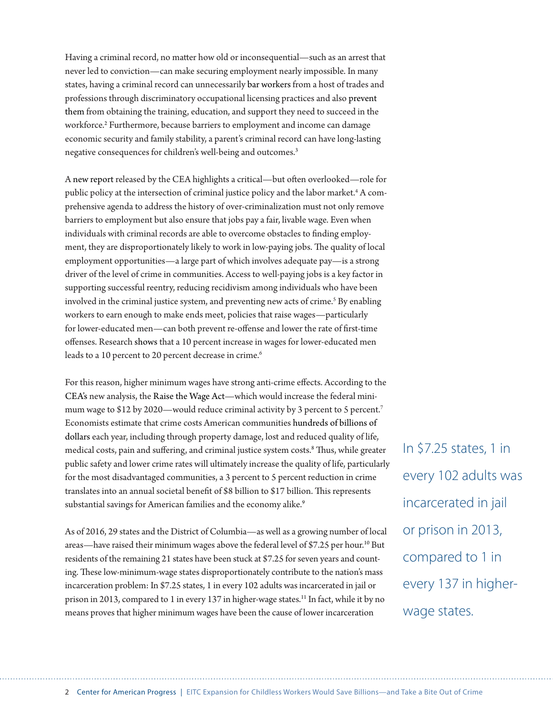Having a criminal record, no matter how old or inconsequential—such as an arrest that never led to conviction—can make securing employment nearly impossible. In many states, having a criminal record can unnecessarily [bar workers](http://www.nelp.org/publication/the-consideration-of-criminal-records-in-occupational-licensing/) from a host of trades and professions through discriminatory occupational licensing practices and also prevent them from obtaining the training, education, and support they need to succeed in the workforce.<sup>2</sup> Furthermore, because barriers to employment and income can damage economic security and family stability, a parent's criminal record can have long-lasting negative consequences for children's well-being and outcomes.<sup>3</sup>

A new report released by the CEA highlights a critical—but often overlooked—role for public policy at the intersection of criminal justice policy and the labor market.<sup>4</sup> A comprehensive agenda to address the history of over-criminalization must not only remove barriers to employment but also ensure that jobs pay a fair, livable wage. Even when individuals with criminal records are able to overcome obstacles to finding employment, they are disproportionately likely to work in low-paying jobs. The quality of local employment opportunities—a large part of which involves adequate pay—is a strong driver of the level of crime in communities. Access to well-paying jobs is a key factor in supporting successful reentry, reducing recidivism among individuals who have been involved in the criminal justice system, and preventing new acts of crime.<sup>5</sup> By enabling workers to earn enough to make ends meet, policies that raise wages—particularly for lower-educated men—can both prevent re-offense and lower the rate of first-time offenses. Research shows that a 10 percent increase in wages for lower-educated men leads to a 10 percent to 20 percent decrease in crime.<sup>6</sup>

For this reason, higher minimum wages have strong anti-crime effects. According to the CEA's new analysis, the Raise the Wage Act—which would increase the federal minimum wage to \$12 by 2020—would reduce criminal activity by 3 percent to 5 percent.<sup>7</sup> Economists estimate that crime costs American communities hundreds of billions of dollars each year, including through property damage, lost and reduced quality of life, medical costs, pain and suffering, and criminal justice system costs.8 Thus, while greater public safety and lower crime rates will ultimately increase the quality of life, particularly for the most disadvantaged communities, a 3 percent to 5 percent reduction in crime translates into an annual societal benefit of \$8 billion to \$17 billion. This represents substantial savings for American families and the economy alike.<sup>9</sup>

As of 2016, 29 states and the District of Columbia—as well as a growing number of local areas—have raised their minimum wages above the federal level of \$7.25 per hour.10 But residents of the remaining 21 states have been stuck at \$7.25 for seven years and counting. These low-minimum-wage states disproportionately contribute to the nation's mass incarceration problem: In \$7.25 states, 1 in every 102 adults was incarcerated in jail or prison in 2013, compared to 1 in every 137 in higher-wage states.<sup>11</sup> In fact, while it by no means proves that higher minimum wages have been the cause of lower incarceration

In \$7.25 states, 1 in every 102 adults was incarcerated in jail or prison in 2013, compared to 1 in every 137 in higherwage states.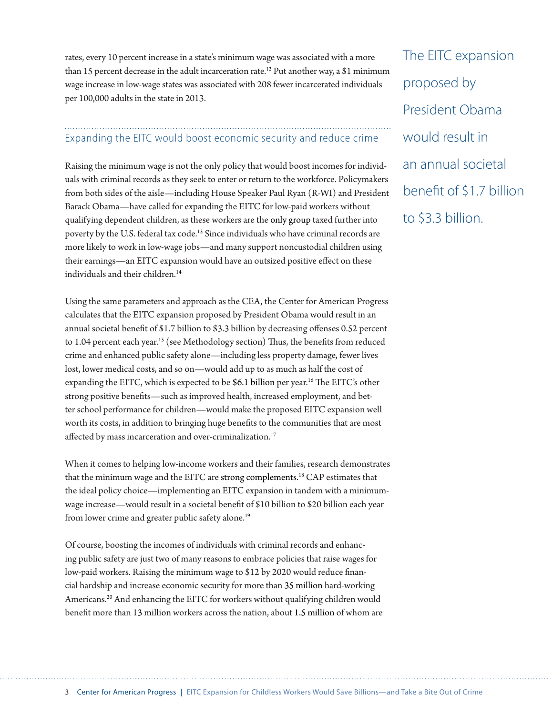rates, every 10 percent increase in a state's minimum wage was associated with a more than 15 percent decrease in the adult incarceration rate.<sup>12</sup> Put another way, a \$1 minimum wage increase in low-wage states was associated with 208 fewer incarcerated individuals per 100,000 adults in the state in 2013.

## Expanding the EITC would boost economic security and reduce crime

Raising the minimum wage is not the only policy that would boost incomes for individuals with criminal records as they seek to enter or return to the workforce. Policymakers from both sides of the aisle—including House Speaker Paul Ryan (R-WI) and President Barack Obama—have called for expanding the EITC for low-paid workers without qualifying dependent children, as these workers are the only group taxed further into poverty by the U.S. federal tax code.<sup>13</sup> Since individuals who have criminal records are more likely to work in low-wage jobs—and many support noncustodial children using their earnings—an EITC expansion would have an outsized positive effect on these individuals and their children.<sup>14</sup>

Using the same parameters and approach as the CEA, the Center for American Progress calculates that the EITC expansion proposed by President Obama would result in an annual societal benefit of \$1.7 billion to \$3.3 billion by decreasing offenses 0.52 percent to 1.04 percent each year.<sup>15</sup> (see Methodology section) Thus, the benefits from reduced crime and enhanced public safety alone—including less property damage, fewer lives lost, lower medical costs, and so on—would add up to as much as half the cost of expanding the EITC, which is expected to be [\\$6.1 billion](https://cdn.americanprogress.org/wp-content/uploads/2016/04/14090524/BudgetChoices.pdf) per year.<sup>16</sup> The EITC's other strong positive benefits—such as improved health, increased employment, and better school performance for children—would make the proposed EITC expansion well worth its costs, in addition to bringing huge benefits to the communities that are most affected by mass incarceration and over-criminalization.<sup>17</sup>

When it comes to helping low-income workers and their families, research demonstrates that the minimum wage and the EITC are strong complements. 18 CAP estimates that the ideal policy choice—implementing an EITC expansion in tandem with a minimumwage increase—would result in a societal benefit of \$10 billion to \$20 billion each year from lower crime and greater public safety alone.<sup>19</sup>

Of course, boosting the incomes of individuals with criminal records and enhancing public safety are just two of many reasons to embrace policies that raise wages for low-paid workers. Raising the minimum wage to \$12 by 2020 would reduce financial hardship and increase economic security for more than 35 million hard-working Americans.20 And enhancing the EITC for workers without qualifying children would benefit more than [13 million](http://www.cbpp.org/research/federal-tax/strengthening-the-eitc-for-childless-workers-would-promote-work-and-reduce) workers across the nation, about [1.5 million](https://www.whitehouse.gov/sites/default/files/docs/eitc_report.pdf) of whom are The EITC expansion proposed by President Obama would result in an annual societal benefit of \$1.7 billion to \$3.3 billion.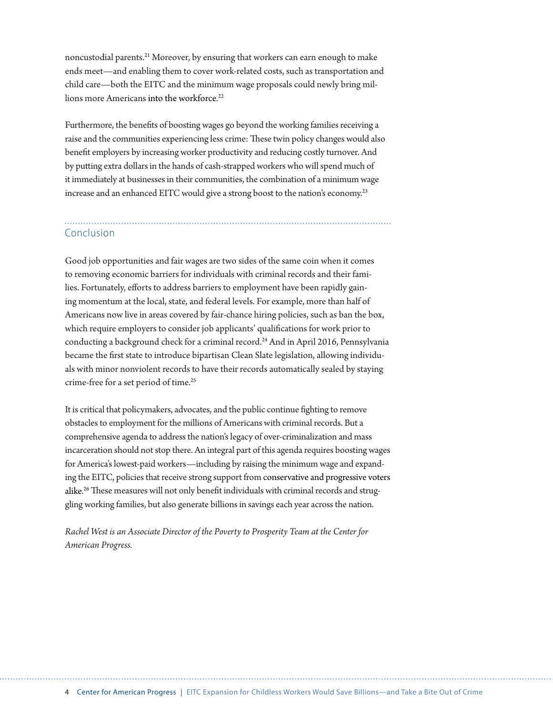noncustodial parents.21 Moreover, by ensuring that workers can earn enough to make ends meet—and enabling them to cover work-related costs, such as transportation and child care—both the EITC and the minimum wage proposals could newly bring millions more Americans [into the workforce](http://www.nber.org/papers/w11729).<sup>22</sup>

Furthermore, the benefits of boosting wages go beyond the working families receiving a raise and the communities experiencing less crime: These twin policy changes would also benefit employers by increasing worker productivity and reducing costly turnover. And by putting extra dollars in the hands of cash-strapped workers who will spend much of it immediately at businesses in their communities, the combination of a minimum wage increase and an enhanced EITC would give a strong boost to the nation's economy.<sup>23</sup>

### Conclusion

Good job opportunities and fair wages are two sides of the same coin when it comes to removing economic barriers for individuals with criminal records and their families. Fortunately, efforts to address barriers to employment have been rapidly gaining momentum at the local, state, and federal levels. For example, more than half of Americans now live in areas covered by fair-chance hiring policies, such as ban the box, which require employers to consider job applicants' qualifications for work prior to conducting a background check for a criminal record.<sup>24</sup> And in April 2016, Pennsylvania became the first state to introduce bipartisan Clean Slate legislation, allowing individuals with minor nonviolent records to have their records automatically sealed by staying crime-free for a set period of time.<sup>25</sup>

It is critical that policymakers, advocates, and the public continue fighting to remove obstacles to employment for the millions of Americans with criminal records. But a comprehensive agenda to address the nation's legacy of over-criminalization and mass incarceration should not stop there. An integral part of this agenda requires boosting wages for America's lowest-paid workers—including by raising the minimum wage and expanding the EITC, policies that receive strong support from [conservative and progressive voters](http://www.raisetheminimumwage.com/pages/polling) [alike.](http://www.raisetheminimumwage.com/pages/polling) 26 These measures will not only benefit individuals with criminal records and struggling working families, but also generate billions in savings each year across the nation.

*Rachel West is an Associate Director of the Poverty to Prosperity Team at the Center for American Progress.*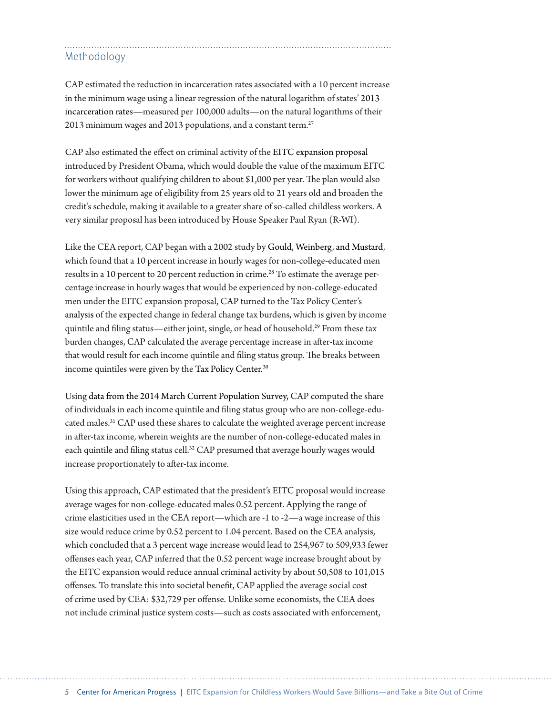### Methodology

CAP estimated the reduction in incarceration rates associated with a 10 percent increase in the minimum wage using a linear regression of the natural logarithm of states' 2013 incarceration rates—measured per 100,000 adults—on the natural logarithms of their 2013 minimum wages and 2013 populations, and a constant term.<sup>27</sup>

CAP also estimated the effect on criminal activity of the EITC expansion proposal introduced by President Obama, which would double the value of the maximum EITC for workers without qualifying children to about \$1,000 per year. The plan would also lower the minimum age of eligibility from 25 years old to 21 years old and broaden the credit's schedule, making it available to a greater share of so-called childless workers. A very similar proposal has been introduced by House Speaker Paul Ryan (R-WI).

Like the CEA report, CAP began with a 2002 study by [Gould, Weinberg, and Mustard](http://people.terry.uga.edu/mustard/labor.pdf), which found that a 10 percent increase in hourly wages for non-college-educated men results in a 10 percent to 20 percent reduction in crime.<sup>28</sup> To estimate the average percentage increase in hourly wages that would be experienced by non-college-educated men under the EITC expansion proposal, CAP turned to the Tax Policy Center's [analysis](http://tpcprod.urban.org/numbers/displayatab.cfm?Docid=4092&DocTypeID=2) of the expected change in federal change tax burdens, which is given by income quintile and filing status—either joint, single, or head of household.<sup>29</sup> From these tax burden changes, CAP calculated the average percentage increase in after-tax income that would result for each income quintile and filing status group. The breaks between income quintiles were given by the [Tax Policy Center.](http://www.taxpolicycenter.org/model-estimates/current-law-baseline-tables-microsimulation-tax-model-0613-1/income-breaks-2013-tax)<sup>30</sup>

Using data from the 2014 March Current Population Survey, CAP computed the share of individuals in each income quintile and filing status group who are non-college-educated males.<sup>31</sup> CAP used these shares to calculate the weighted average percent increase in after-tax income, wherein weights are the number of non-college-educated males in each quintile and filing status cell.<sup>32</sup> CAP presumed that average hourly wages would increase proportionately to after-tax income.

Using this approach, CAP estimated that the president's EITC proposal would increase average wages for non-college-educated males 0.52 percent. Applying the range of crime elasticities used in the CEA report—which are -1 to -2—a wage increase of this size would reduce crime by 0.52 percent to 1.04 percent. Based on the CEA analysis, which concluded that a 3 percent wage increase would lead to 254,967 to 509,933 fewer offenses each year, CAP inferred that the 0.52 percent wage increase brought about by the EITC expansion would reduce annual criminal activity by about 50,508 to 101,015 offenses. To translate this into societal benefit, CAP applied the average social cost of crime used by CEA: \$32,729 per offense. Unlike some economists, the CEA does not include criminal justice system costs—such as costs associated with enforcement,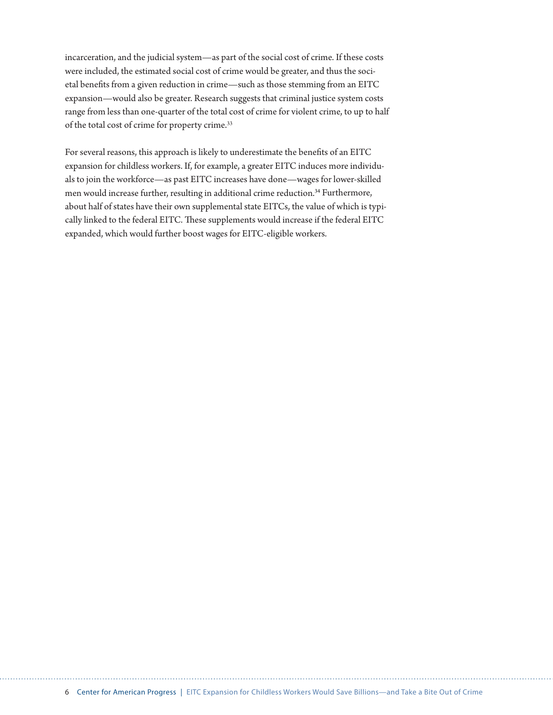incarceration, and the judicial system—as part of the social cost of crime. If these costs were included, the estimated social cost of crime would be greater, and thus the societal benefits from a given reduction in crime—such as those stemming from an EITC expansion—would also be greater. Research suggests that criminal justice system costs range from less than one-quarter of the total cost of crime for violent crime, to up to half of the total cost of crime for property crime.33

For several reasons, this approach is likely to underestimate the benefits of an EITC expansion for childless workers. If, for example, a greater EITC induces more individuals to join the workforce—as past EITC increases have done—wages for lower-skilled men would increase further, resulting in additional crime reduction.<sup>34</sup> Furthermore, about half of states have their own supplemental state EITCs, the value of which is typically linked to the federal EITC. These supplements would increase if the federal EITC expanded, which would further boost wages for EITC-eligible workers.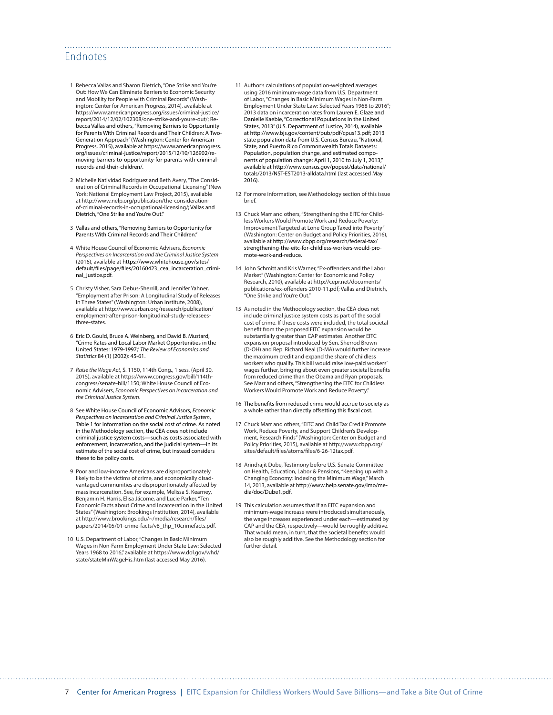#### Endnotes

- 1 Rebecca Vallas and Sharon Dietrich, "One Strike and You're Out: How We Can Eliminate Barriers to Economic Security and Mobility for People with Criminal Records" (Washington: Center for American Progress, 2014), available at https://www.americanprogress.org/issues/criminal-justice/ report/2014/12/02/102308/one-strike-and-youre-out/; Rebecca Vallas and others, "Removing Barriers to Opportunity for Parents With Criminal Records and Their Children: A Two-Generation Approach" (Washington: Center for American Progress, 2015), available at https://www.americanprogress. org/issues/criminal-justice/report/2015/12/10/126902/removing-barriers-to-opportunity-for-parents-with-criminalrecords-and-their-children/.
- 2 Michelle Natividad Rodriguez and Beth Avery, "The Consideration of Criminal Records in Occupational Licensing" (New York: National Employment Law Project, 2015), available at [http://www.nelp.org/publication/the-consideration](http://www.nelp.org/publication/the-consideration-of-criminal-records-in-occupational-licensing/)[of-criminal-records-in-occupational-licensing/](http://www.nelp.org/publication/the-consideration-of-criminal-records-in-occupational-licensing/); Vallas and Dietrich, "One Strike and You're Out."
- 3 Vallas and others, "Removing Barriers to Opportunity for Parents With Criminal Records and Their Children."
- 4 White House Council of Economic Advisers, *Economic Perspectives on Incarceration and the Criminal Justice System*  (2016), available at https://www.whitehouse.gov/sites/ default/files/page/files/20160423\_cea\_incarceration\_criminal\_justice.pdf.
- 5 Christy Visher, Sara Debus-Sherrill, and Jennifer Yahner, "Employment after Prison: A Longitudinal Study of Releases in Three States" (Washington: Urban Institute, 2008), available at http://www.urban.org/research/publication/ employment-after-prison-longitudinal-study-releaseesthree-states.
- 6 Eric D. Gould, Bruce A. Weinberg, and David B. Mustard, "Crime Rates and Local Labor Market Opportunities in the United States: 1979-1997," *The Review of Economics and Statistics* 84 (1) (2002): 45-61.
- 7 *Raise the Wage Act*, S. 1150, 114th Cong., 1 sess. (April 30, 2015), available at [https://www.congress.gov/bill/114th](https://www.congress.gov/bill/114th-congress/senate-bill/1150)[congress/senate-bill/1150](https://www.congress.gov/bill/114th-congress/senate-bill/1150); White House Council of Economic Advisers, *Economic Perspectives on Incarceration and the Criminal Justice System*.
- 8 See White House Council of Economic Advisors, *Economic Perspectives on Incarceration and Criminal Justice System*, Table 1 for information on the social cost of crime. As noted in the Methodology section, the CEA does not include criminal justice system costs—such as costs associated with enforcement, incarceration, and the judicial system—in its estimate of the social cost of crime, but instead considers these to be policy costs.
- 9 Poor and low-income Americans are disproportionately likely to be the victims of crime, and economically disadvantaged communities are disproportionately affected by mass incarceration. See, for example, Melissa S. Kearney, Benjamin H. Harris, Elisa Jácome, and Lucie Parker, "Ten Economic Facts about Crime and Incarceration in the United States" (Washington: Brookings Institution, 2014), available at http://www.brookings.edu/~/media/research/files/ papers/2014/05/01-crime-facts/v8\_thp\_10crimefacts.pdf.
- 10 U.S. Department of Labor, "Changes in Basic Minimum Wages in Non-Farm Employment Under State Law: Selected Years 1968 to 2016," available at [https://www.dol.gov/whd/](https://www.dol.gov/whd/state/stateMinWageHis.htm) [state/stateMinWageHis.htm](https://www.dol.gov/whd/state/stateMinWageHis.htm) (last accessed May 2016).

11 Author's calculations of population-weighted averages using 2016 minimum-wage data from U.S. Department of Labor, "Changes in Basic Minimum Wages in Non-Farm Employment Under State Law: Selected Years 1968 to 2016"; 2013 data on incarceration rates from Lauren E. Glaze and Danielle Kaeble, "Correctional Populations in the United States, 2013" (U.S. Department of Justice, 2014), available at [http://www.bjs.gov/content/pub/pdf/cpus13.pdf;](http://www.bjs.gov/content/pub/pdf/cpus13.pdf) 2013 state population data from U.S. Census Bureau, "National, State, and Puerto Rico Commonwealth Totals Datasets: Population, population change, and estimated components of population change: April 1, 2010 to July 1, 2013," available at [http://www.census.gov/popest/data/national/](http://www.census.gov/popest/data/national/totals/2013/NST-EST2013-alldata.html) [totals/2013/NST-EST2013-alldata.html](http://www.census.gov/popest/data/national/totals/2013/NST-EST2013-alldata.html) (last accessed May 2016).

- 12 For more information, see Methodology section of this issue brief.
- 13 Chuck Marr and others, "Strengthening the EITC for Childless Workers Would Promote Work and Reduce Poverty: Improvement Targeted at Lone Group Taxed into Poverty (Washington: Center on Budget and Policy Priorities, 2016), available at http://www.cbpp.org/research/federal-tax/ strengthening-the-eitc-for-childless-workers-would-promote-work-and-reduce.
- 14 John Schmitt and Kris Warner, "Ex‐offenders and the Labor Market" (Washington: Center for Economic and Policy Research, 2010), available at [http://cepr.net/documents/](http://cepr.net/documents/publications/ex-offenders-2010-11.pdf) [publications/ex-offenders-2010-11.pdf;](http://cepr.net/documents/publications/ex-offenders-2010-11.pdf) Vallas and Dietrich, .<br>"One Strike and You're Out."
- 15 As noted in the Methodology section, the CEA does not include criminal justice system costs as part of the social cost of crime. If these costs were included, the total societal benefit from the proposed EITC expansion would be substantially greater than CAP estimates. Another EITC expansion proposal introduced by Sen. Sherrod Brown (D-OH) and Rep. Richard Neal (D-MA) would further increase the maximum credit and expand the share of childless workers who qualify. This bill would raise low-paid workers' wages further, bringing about even greater societal benefits from reduced crime than the Obama and Ryan proposals. See Marr and others, "Strengthening the EITC for Childless Workers Would Promote Work and Reduce Poverty."
- 16 The benefits from reduced crime would accrue to society as a whole rather than directly offsetting this fiscal cost.
- 17 Chuck Marr and others, "EITC and Child Tax Credit Promote Work, Reduce Poverty, and Support Children's Development, Research Finds" (Washington: Center on Budget and Policy Priorities, 2015), available at http://www.cbpp.org/ sites/default/files/atoms/files/6-26-12tax.pdf.
- 18 Arindrajit Dube, Testimony before U.S. Senate Committee on Health, Education, Labor & Pensions, "Keeping up with a Changing Economy: Indexing the Minimum Wage," March 14, 2013, available at http://www.help.senate.gov/imo/media/doc/Dube1.pdf.
- 19 This calculation assumes that if an EITC expansion and minimum-wage increase were introduced simultaneously, the wage increases experienced under each—estimated by CAP and the CEA, respectively—would be roughly additive. That would mean, in turn, that the societal benefits would also be roughly additive. See the Methodology section for further detail.